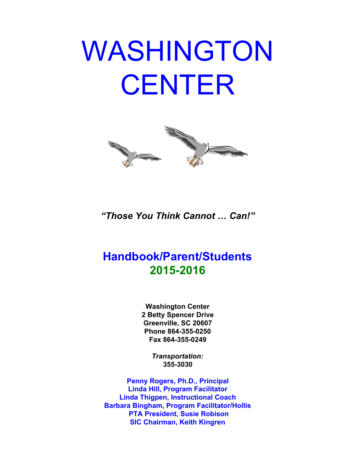# WASHINGTON **CENTER**



*"Those You Think Cannot … Can!"*

# **Handbook/Parent/Students 20152016**

**Washington Center 2 Betty Spencer Drive Greenville, SC 20607 Phone 864-355-0250 Fax 8643550249**

> *Transportation:* **3553030**

**Penny Rogers, Ph.D., Principal Linda Hill, Program Facilitator Linda Thigpen, Instructional Coach Barbara Bingham, Program Facilitator/Hollis PTA President, Susie Robison SIC Chairman, Keith Kingren**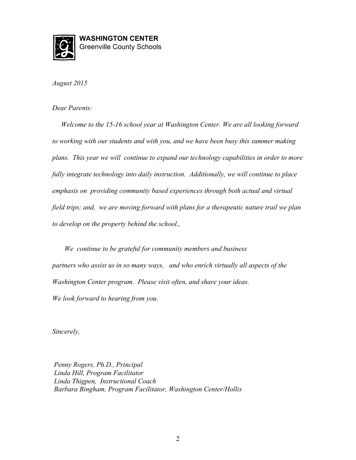

**WASHINGTON CENTER** Greenville County Schools

*August 2015*

*Dear Parents:*

*Welcome to the 1516 school year at Washington Center. We are all looking forward to working with our students and with you, and we have been busy this summer making plans. This year we will continue to expand our technology capabilities in order to more fully integrate technology into daily instruction. Additionally, we will continue to place emphasis on providing community based experiences through both actual and virtual field trips; and, we are moving forward with plans for a therapeutic nature trail we plan to develop on the property behind the school.,*

*We continue to be grateful for community members and business partners who assist us in so many ways, and who enrich virtually all aspects of the Washington Center program. Please visit often, and share your ideas. We look forward to hearing from you.*

*Sincerely,*

*Penny Rogers, Ph.D., Principal Linda Hill, Program Facilitator Linda Thigpen, Instructional Coach Barbara Bingham, Program Facilitator, Washington Center/Hollis*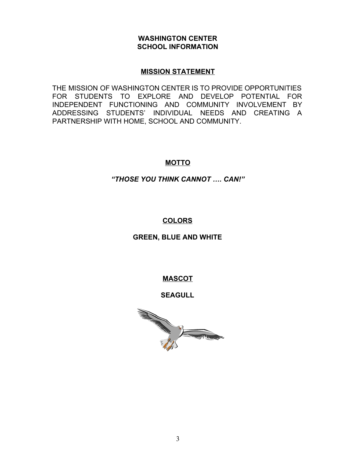#### **WASHINGTON CENTER SCHOOL INFORMATION**

#### **MISSION STATEMENT**

THE MISSION OF WASHINGTON CENTER IS TO PROVIDE OPPORTUNITIES FOR STUDENTS TO EXPLORE AND DEVELOP POTENTIAL FOR INDEPENDENT FUNCTIONING AND COMMUNITY INVOLVEMENT BY ADDRESSING STUDENTS' INDIVIDUAL NEEDS AND CREATING A PARTNERSHIP WITH HOME, SCHOOL AND COMMUNITY.

# **MOTTO**

# *"THOSE YOU THINK CANNOT …. CAN!"*

# **COLORS**

# **GREEN, BLUE AND WHITE**

# **MASCOT**

# **SEAGULL**

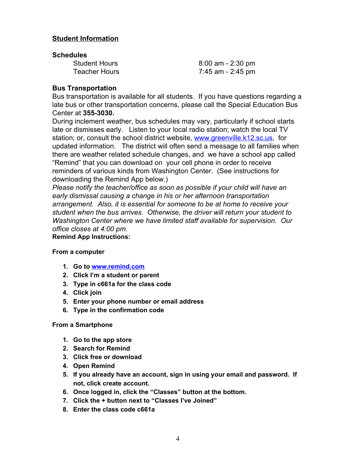#### **Student Information**

#### **Schedules**

| <b>Student Hours</b> | 8:00 am - 2:30 pm |
|----------------------|-------------------|
| <b>Teacher Hours</b> | 7:45 am - 2:45 pm |

#### **Bus Transportation**

Bus transportation is available for all students. If you have questions regarding a late bus or other transportation concerns, please call the Special Education Bus Center at **3553030.**

During inclement weather, bus schedules may vary, particularly if school starts late or dismisses early. Listen to your local radio station; watch the local TV station; or, consult the school district website, [www.greenville.k12.sc.us,](http://www.greenville.k12.sc.us/) for updated information. The district will often send a message to all families when there are weather related schedule changes, and we have a school app called "Remind" that you can download on your cell phone in order to receive reminders of various kinds from Washington Center. (See instructions for downloading the Remind App below.)

*Please notify the teacher/office as soon as possible if your child will have an early dismissal causing a change in his or her afternoon transportation arrangement. Also, it is essential for someone to be at home to receive your student when the bus arrives. Otherwise, the driver will return your student to Washington Center where we have limited staff available for supervision. Our office closes at 4:00 pm.*

**Remind App Instructions:**

#### **From a computer**

- **1. Go to [www.remind.com](http://www.remind.com/)**
- **2. Click I'm a student or parent**
- **3. Type in c661a for the class code**
- **4. Click join**
- **5. Enter your phone number or email address**
- **6. Type in the confirmation code**

#### **From a Smartphone**

- **1. Go to the app store**
- **2. Search for Remind**
- **3. Click free or download**
- **4. Open Remind**
- **5. If you already have an account, sign in using your email and password. If not, click create account.**
- **6. Once logged in, click the "Classes" button at the bottom.**
- **7. Click the + button next to "Classes I've Joined"**
- **8. Enter the class code c661a**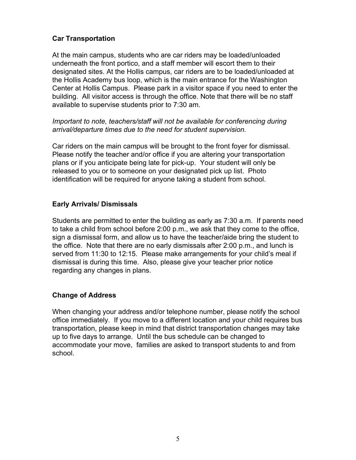# **Car Transportation**

At the main campus, students who are car riders may be loaded/unloaded underneath the front portico, and a staff member will escort them to their designated sites. At the Hollis campus, car riders are to be loaded/unloaded at the Hollis Academy bus loop, which is the main entrance for the Washington Center at Hollis Campus. Please park in a visitor space if you need to enter the building. All visitor access is through the office. Note that there will be no staff available to supervise students prior to 7:30 am.

*Important to note, teachers/staff will not be available for conferencing during arrival/departure times due to the need for student supervision.*

Car riders on the main campus will be brought to the front foyer for dismissal. Please notify the teacher and/or office if you are altering your transportation plans or if you anticipate being late for pick-up. Your student will only be released to you or to someone on your designated pick up list. Photo identification will be required for anyone taking a student from school.

# **Early Arrivals/ Dismissals**

Students are permitted to enter the building as early as 7:30 a.m. If parents need to take a child from school before 2:00 p.m., we ask that they come to the office, sign a dismissal form, and allow us to have the teacher/aide bring the student to the office. Note that there are no early dismissals after 2:00 p.m., and lunch is served from 11:30 to 12:15. Please make arrangements for your child's meal if dismissal is during this time. Also, please give your teacher prior notice regarding any changes in plans.

# **Change of Address**

When changing your address and/or telephone number, please notify the school office immediately. If you move to a different location and your child requires bus transportation, please keep in mind that district transportation changes may take up to five days to arrange. Until the bus schedule can be changed to accommodate your move, families are asked to transport students to and from school.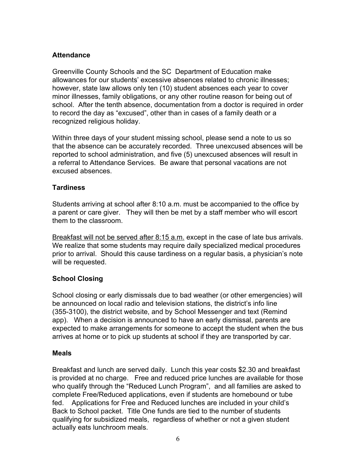# **Attendance**

Greenville County Schools and the SC Department of Education make allowances for our students' excessive absences related to chronic illnesses; however, state law allows only ten (10) student absences each year to cover minor illnesses, family obligations, or any other routine reason for being out of school. After the tenth absence, documentation from a doctor is required in order to record the day as "excused", other than in cases of a family death or a recognized religious holiday.

Within three days of your student missing school, please send a note to us so that the absence can be accurately recorded. Three unexcused absences will be reported to school administration, and five (5) unexcused absences will result in a referral to Attendance Services. Be aware that personal vacations are not excused absences.

# **Tardiness**

Students arriving at school after 8:10 a.m. must be accompanied to the office by a parent or care giver. They will then be met by a staff member who will escort them to the classroom.

Breakfast will not be served after 8:15 a.m. except in the case of late bus arrivals. We realize that some students may require daily specialized medical procedures prior to arrival. Should this cause tardiness on a regular basis, a physician's note will be requested.

# **School Closing**

School closing or early dismissals due to bad weather (or other emergencies) will be announced on local radio and television stations, the district's info line (355-3100), the district website, and by School Messenger and text (Remind) app). When a decision is announced to have an early dismissal, parents are expected to make arrangements for someone to accept the student when the bus arrives at home or to pick up students at school if they are transported by car.

#### **Meals**

Breakfast and lunch are served daily. Lunch this year costs \$2.30 and breakfast is provided at no charge. Free and reduced price lunches are available for those who qualify through the "Reduced Lunch Program", and all families are asked to complete Free/Reduced applications, even if students are homebound or tube fed. Applications for Free and Reduced lunches are included in your child's Back to School packet. Title One funds are tied to the number of students qualifying for subsidized meals, regardless of whether or not a given student actually eats lunchroom meals.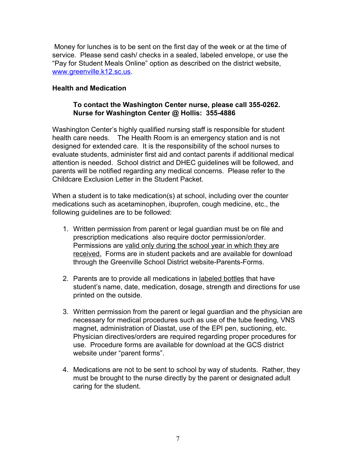Money for lunches is to be sent on the first day of the week or at the time of service. Please send cash/ checks in a sealed, labeled envelope, or use the "Pay for Student Meals Online" option as described on the district website, [www.greenville.k12.sc.us.](http://www.greenville.k12.sc.us/)

#### **Health and Medication**

#### **To contact the Washington Center nurse, please call 3550262. Nurse for Washington Center @ Hollis: 3554886**

Washington Center's highly qualified nursing staff is responsible for student health care needs. The Health Room is an emergency station and is not designed for extended care. It is the responsibility of the school nurses to evaluate students, administer first aid and contact parents if additional medical attention is needed. School district and DHEC guidelines will be followed, and parents will be notified regarding any medical concerns. Please refer to the Childcare Exclusion Letter in the Student Packet.

When a student is to take medication(s) at school, including over the counter medications such as acetaminophen, ibuprofen, cough medicine, etc., the following guidelines are to be followed:

- 1. Written permission from parent or legal guardian must be on file and prescription medications also require doctor permission/order. Permissions are valid only during the school year in which they are received. Forms are in student packets and are available for download through the Greenville School District website-Parents-Forms.
- 2. Parents are to provide all medications in labeled bottles that have student's name, date, medication, dosage, strength and directions for use printed on the outside.
- 3. Written permission from the parent or legal guardian and the physician are necessary for medical procedures such as use of the tube feeding, VNS magnet, administration of Diastat, use of the EPI pen, suctioning, etc. Physician directives/orders are required regarding proper procedures for use. Procedure forms are available for download at the GCS district website under "parent forms".
- 4. Medications are not to be sent to school by way of students. Rather, they must be brought to the nurse directly by the parent or designated adult caring for the student.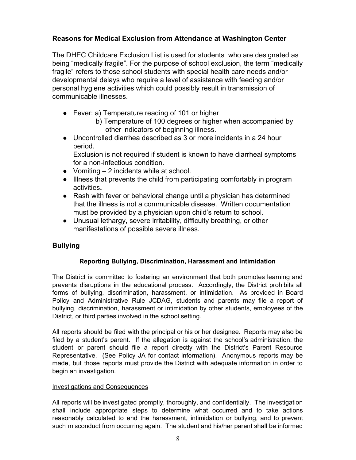# **Reasons for Medical Exclusion from Attendance at Washington Center**

The DHEC Childcare Exclusion List is used for students who are designated as being "medically fragile". For the purpose of school exclusion, the term "medically fragile" refers to those school students with special health care needs and/or developmental delays who require a level of assistance with feeding and/or personal hygiene activities which could possibly result in transmission of communicable illnesses.

- Fever: a) Temperature reading of 101 or higher
	- b) Temperature of 100 degrees or higher when accompanied by other indicators of beginning illness.
- Uncontrolled diarrhea described as 3 or more incidents in a 24 hour period.

Exclusion is not required if student is known to have diarrheal symptoms for a non-infectious condition.

- $\bullet$  Vomiting  $-2$  incidents while at school.
- Illness that prevents the child from participating comfortably in program activities**.**
- Rash with fever or behavioral change until a physician has determined that the illness is not a communicable disease. Written documentation must be provided by a physician upon child's return to school.
- Unusual lethargy, severe irritability, difficulty breathing, or other manifestations of possible severe illness.

# **Bullying**

# **Reporting Bullying, Discrimination, Harassment and Intimidation**

The District is committed to fostering an environment that both promotes learning and prevents disruptions in the educational process. Accordingly, the District prohibits all forms of bullying, discrimination, harassment, or intimidation. As provided in Board Policy and Administrative Rule JCDAG, students and parents may file a report of bullying, discrimination, harassment or intimidation by other students, employees of the District, or third parties involved in the school setting.

All reports should be filed with the principal or his or her designee. Reports may also be filed by a student's parent. If the allegation is against the school's administration, the student or parent should file a report directly with the District's Parent Resource Representative. (See Policy JA for contact information). Anonymous reports may be made, but those reports must provide the District with adequate information in order to begin an investigation.

#### Investigations and Consequences

All reports will be investigated promptly, thoroughly, and confidentially. The investigation shall include appropriate steps to determine what occurred and to take actions reasonably calculated to end the harassment, intimidation or bullying, and to prevent such misconduct from occurring again. The student and his/her parent shall be informed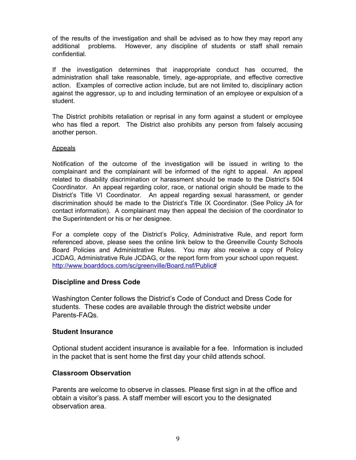of the results of the investigation and shall be advised as to how they may report any additional problems. However, any discipline of students or staff shall remain confidential.

If the investigation determines that inappropriate conduct has occurred, the administration shall take reasonable, timely, age-appropriate, and effective corrective action. Examples of corrective action include, but are not limited to, disciplinary action against the aggressor, up to and including termination of an employee or expulsion of a student.

The District prohibits retaliation or reprisal in any form against a student or employee who has filed a report. The District also prohibits any person from falsely accusing another person.

#### Appeals

Notification of the outcome of the investigation will be issued in writing to the complainant and the complainant will be informed of the right to appeal. An appeal related to disability discrimination or harassment should be made to the District's 504 Coordinator. An appeal regarding color, race, or national origin should be made to the District's Title VI Coordinator. An appeal regarding sexual harassment, or gender discrimination should be made to the District's Title IX Coordinator. (See Policy JA for contact information). A complainant may then appeal the decision of the coordinator to the Superintendent or his or her designee.

For a complete copy of the District's Policy, Administrative Rule, and report form referenced above, please sees the online link below to the Greenville County Schools Board Policies and Administrative Rules. You may also receive a copy of Policy JCDAG, Administrative Rule JCDAG, or the report form from your school upon request. <http://www.boarddocs.com/sc/greenville/Board.nsf/Public#>

#### **Discipline and Dress Code**

Washington Center follows the District's Code of Conduct and Dress Code for students. These codes are available through the district website under Parents-FAQs.

#### **Student Insurance**

Optional student accident insurance is available for a fee. Information is included in the packet that is sent home the first day your child attends school.

#### **Classroom Observation**

Parents are welcome to observe in classes. Please first sign in at the office and obtain a visitor's pass. A staff member will escort you to the designated observation area.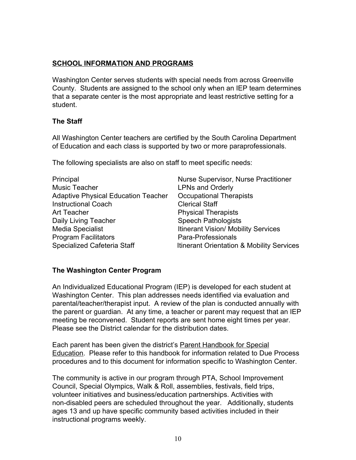# **SCHOOL INFORMATION AND PROGRAMS**

Washington Center serves students with special needs from across Greenville County. Students are assigned to the school only when an IEP team determines that a separate center is the most appropriate and least restrictive setting for a student.

# **The Staff**

All Washington Center teachers are certified by the South Carolina Department of Education and each class is supported by two or more paraprofessionals.

The following specialists are also on staff to meet specific needs:

| Principal                                  | Nurse Supervisor, Nurse Practitioner       |
|--------------------------------------------|--------------------------------------------|
| <b>Music Teacher</b>                       | <b>LPNs and Orderly</b>                    |
| <b>Adaptive Physical Education Teacher</b> | <b>Occupational Therapists</b>             |
| <b>Instructional Coach</b>                 | <b>Clerical Staff</b>                      |
| Art Teacher                                | <b>Physical Therapists</b>                 |
| Daily Living Teacher                       | <b>Speech Pathologists</b>                 |
| Media Specialist                           | <b>Itinerant Vision/ Mobility Services</b> |
| <b>Program Facilitators</b>                | Para-Professionals                         |
| Specialized Cafeteria Staff                | Itinerant Orientation & Mobility Services  |

# **The Washington Center Program**

An Individualized Educational Program (IEP) is developed for each student at Washington Center. This plan addresses needs identified via evaluation and parental/teacher/therapist input. A review of the plan is conducted annually with the parent or guardian. At any time, a teacher or parent may request that an IEP meeting be reconvened. Student reports are sent home eight times per year. Please see the District calendar for the distribution dates.

Each parent has been given the district's Parent Handbook for Special Education. Please refer to this handbook for information related to Due Process procedures and to this document for information specific to Washington Center.

The community is active in our program through PTA, School Improvement Council, Special Olympics, Walk & Roll, assemblies, festivals, field trips, volunteer initiatives and business/education partnerships. Activities with non-disabled peers are scheduled throughout the year. Additionally, students ages 13 and up have specific community based activities included in their instructional programs weekly.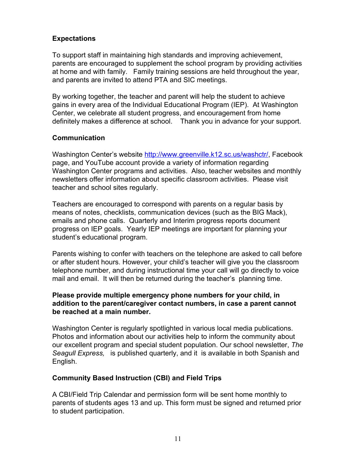# **Expectations**

To support staff in maintaining high standards and improving achievement, parents are encouraged to supplement the school program by providing activities at home and with family. Family training sessions are held throughout the year, and parents are invited to attend PTA and SIC meetings.

By working together, the teacher and parent will help the student to achieve gains in every area of the Individual Educational Program (IEP). At Washington Center, we celebrate all student progress, and encouragement from home definitely makes a difference at school. Thank you in advance for your support.

# **Communication**

Washington Center's website [http://www.greenville.k12.sc.us/washctr/,](http://www.greenville.k12.sc.us/washctr/) Facebook page, and YouTube account provide a variety of information regarding Washington Center programs and activities. Also, teacher websites and monthly newsletters offer information about specific classroom activities. Please visit teacher and school sites regularly.

Teachers are encouraged to correspond with parents on a regular basis by means of notes, checklists, communication devices (such as the BIG Mack), emails and phone calls. Quarterly and Interim progress reports document progress on IEP goals. Yearly IEP meetings are important for planning your student's educational program.

Parents wishing to confer with teachers on the telephone are asked to call before or after student hours. However, your child's teacher will give you the classroom telephone number, and during instructional time your call will go directly to voice mail and email. It will then be returned during the teacher's planning time.

#### **Please provide multiple emergency phone numbers for your child, in addition to the parent/caregiver contact numbers, in case a parent cannot be reached at a main number.**

Washington Center is regularly spotlighted in various local media publications. Photos and information about our activities help to inform the community about our excellent program and special student population. Our school newsletter, *The Seagull Express,* is published quarterly, and it is available in both Spanish and English.

# **Community Based Instruction (CBI) and Field Trips**

A CBI/Field Trip Calendar and permission form will be sent home monthly to parents of students ages 13 and up. This form must be signed and returned prior to student participation.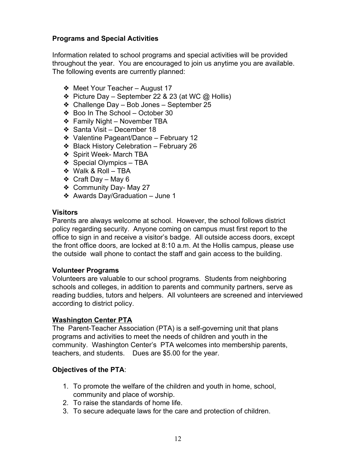# **Programs and Special Activities**

Information related to school programs and special activities will be provided throughout the year. You are encouraged to join us anytime you are available. The following events are currently planned:

- ❖ Meet Your Teacher August 17
- ❖ Picture Day September 22 & 23 (at WC @ Hollis)
- ❖ Challenge Day Bob Jones September 25
- ❖ Boo In The School October 30
- ❖ Family Night November TBA
- ❖ Santa Visit December 18
- ❖ Valentine Pageant/Dance February 12
- ❖ Black History Celebration February 26
- ❖ Spirit Week- March TBA
- ❖ Special Olympics TBA
- ❖ Walk & Roll TBA
- ❖ Craft Day May 6
- ❖ Community Day- May 27
- ❖ Awards Day/Graduation June 1

#### **Visitors**

Parents are always welcome at school. However, the school follows district policy regarding security. Anyone coming on campus must first report to the office to sign in and receive a visitor's badge. All outside access doors, except the front office doors, are locked at 8:10 a.m. At the Hollis campus, please use the outside wall phone to contact the staff and gain access to the building.

#### **Volunteer Programs**

Volunteers are valuable to our school programs. Students from neighboring schools and colleges, in addition to parents and community partners, serve as reading buddies, tutors and helpers. All volunteers are screened and interviewed according to district policy.

#### **Washington Center PTA**

The Parent-Teacher Association (PTA) is a self-governing unit that plans programs and activities to meet the needs of children and youth in the community. Washington Center's PTA welcomes into membership parents, teachers, and students. Dues are \$5.00 for the year.

#### **Objectives of the PTA**:

- 1. To promote the welfare of the children and youth in home, school, community and place of worship.
- 2. To raise the standards of home life.
- 3. To secure adequate laws for the care and protection of children.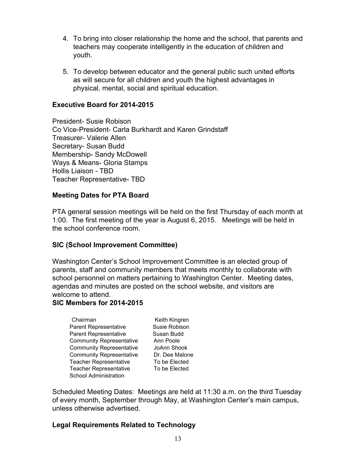- 4. To bring into closer relationship the home and the school, that parents and teachers may cooperate intelligently in the education of children and youth.
- 5. To develop between educator and the general public such united efforts as will secure for all children and youth the highest advantages in physical, mental, social and spiritual education.

#### **Executive Board for 2014-2015**

President- Susie Robison Co Vice-President- Carla Burkhardt and Karen Grindstaff Treasurer- Valerie Allen Secretary- Susan Budd Membership-Sandy McDowell Ways & Means- Gloria Stamps Hollis Liaison - TBD Teacher Representative-TBD

#### **Meeting Dates for PTA Board**

PTA general session meetings will be held on the first Thursday of each month at 1:00. The first meeting of the year is August 6, 2015. Meetings will be held in the school conference room.

#### **SIC (School Improvement Committee)**

Washington Center's School Improvement Committee is an elected group of parents, staff and community members that meets monthly to collaborate with school personnel on matters pertaining to Washington Center. Meeting dates, agendas and minutes are posted on the school website, and visitors are welcome to attend.

#### **SIC Members for 20142015**

Chairman Keith Kingren Parent Representative **Susie Robison** Parent Representative Susan Budd Community Representative Ann Poole Community Representative JoAnn Shook Community Representative Dr. Dee Malone Teacher Representative To be Elected Teacher Representative To be Elected School Administration

Scheduled Meeting Dates: Meetings are held at 11:30 a.m. on the third Tuesday of every month, September through May, at Washington Center's main campus, unless otherwise advertised.

#### **Legal Requirements Related to Technology**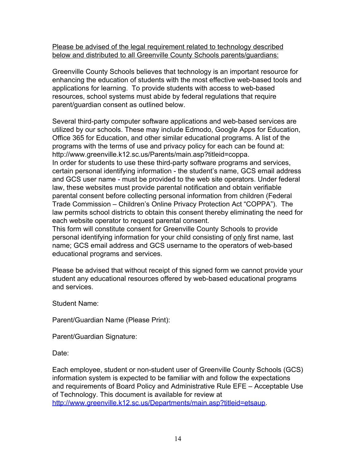Please be advised of the legal requirement related to technology described below and distributed to all Greenville County Schools parents/guardians:

Greenville County Schools believes that technology is an important resource for enhancing the education of students with the most effective web-based tools and applications for learning. To provide students with access to web-based resources, school systems must abide by federal regulations that require parent/guardian consent as outlined below.

Several third-party computer software applications and web-based services are utilized by our schools. These may include Edmodo, Google Apps for Education, Office 365 for Education, and other similar educational programs. A list of the programs with the terms of use and privacy policy for each can be found at: http://www.greenville.k12.sc.us/Parents/main.asp?titleid=coppa. In order for students to use these third-party software programs and services, certain personal identifying information - the student's name, GCS email address and GCS user name - must be provided to the web site operators. Under federal law, these websites must provide parental notification and obtain verifiable parental consent before collecting personal information from children (Federal Trade Commission – Children's Online Privacy Protection Act "COPPA"). The law permits school districts to obtain this consent thereby eliminating the need for each website operator to request parental consent.

This form will constitute consent for Greenville County Schools to provide personal identifying information for your child consisting of only first name, last name; GCS email address and GCS username to the operators of web-based educational programs and services.

Please be advised that without receipt of this signed form we cannot provide your student any educational resources offered by web-based educational programs and services.

Student Name:

Parent/Guardian Name (Please Print):

Parent/Guardian Signature:

Date:

Each employee, student or non-student user of Greenville County Schools (GCS) information system is expected to be familiar with and follow the expectations and requirements of Board Policy and Administrative Rule EFE – Acceptable Use of Technology. This document is available for review at [http://www.greenville.k12.sc.us/Departments/main.asp?titleid=etsaup.](http://www.greenville.k12.sc.us/Departments/main.asp?titleid=etsaup)